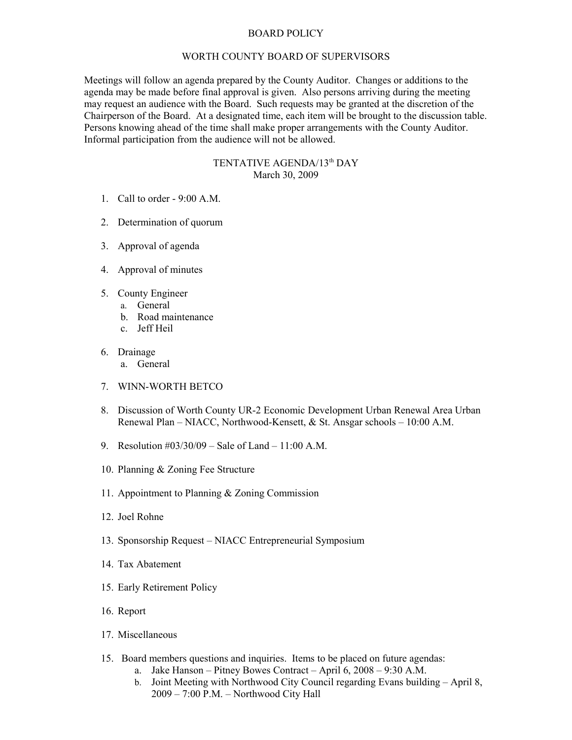## BOARD POLICY

## WORTH COUNTY BOARD OF SUPERVISORS

Meetings will follow an agenda prepared by the County Auditor. Changes or additions to the agenda may be made before final approval is given. Also persons arriving during the meeting may request an audience with the Board. Such requests may be granted at the discretion of the Chairperson of the Board. At a designated time, each item will be brought to the discussion table. Persons knowing ahead of the time shall make proper arrangements with the County Auditor. Informal participation from the audience will not be allowed.

## TENTATIVE AGENDA/13<sup>th</sup> DAY March 30, 2009

- 1. Call to order 9:00 A.M.
- 2. Determination of quorum
- 3. Approval of agenda
- 4. Approval of minutes
- 5. County Engineer
	- a. General
	- b. Road maintenance
	- c. Jeff Heil
- 6. Drainage
	- a. General
- 7. WINN-WORTH BETCO
- 8. Discussion of Worth County UR-2 Economic Development Urban Renewal Area Urban Renewal Plan – NIACC, Northwood-Kensett, & St. Ansgar schools – 10:00 A.M.
- 9. Resolution #03/30/09 Sale of Land 11:00 A.M.
- 10. Planning & Zoning Fee Structure
- 11. Appointment to Planning & Zoning Commission
- 12. Joel Rohne
- 13. Sponsorship Request NIACC Entrepreneurial Symposium
- 14. Tax Abatement
- 15. Early Retirement Policy
- 16. Report
- 17. Miscellaneous
- 15. Board members questions and inquiries. Items to be placed on future agendas:
	- a. Jake Hanson Pitney Bowes Contract April 6, 2008 9:30 A.M.
	- b. Joint Meeting with Northwood City Council regarding Evans building April 8, 2009 – 7:00 P.M. – Northwood City Hall